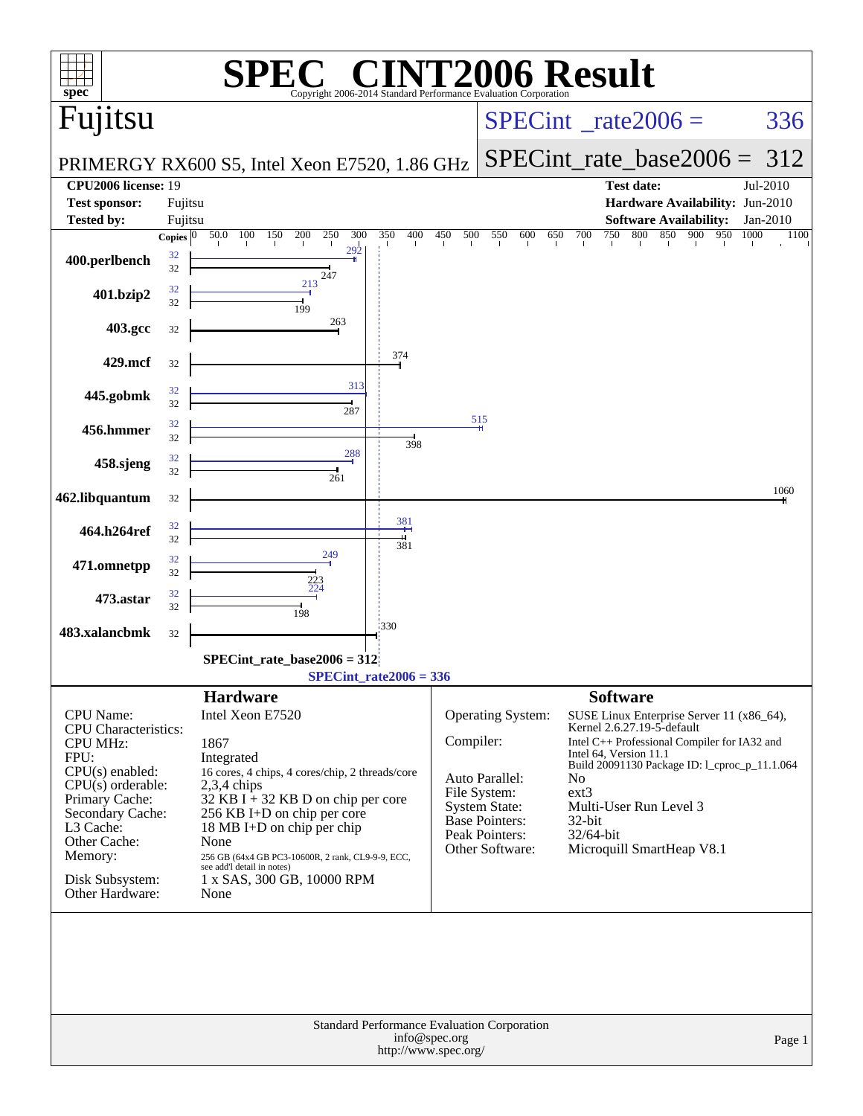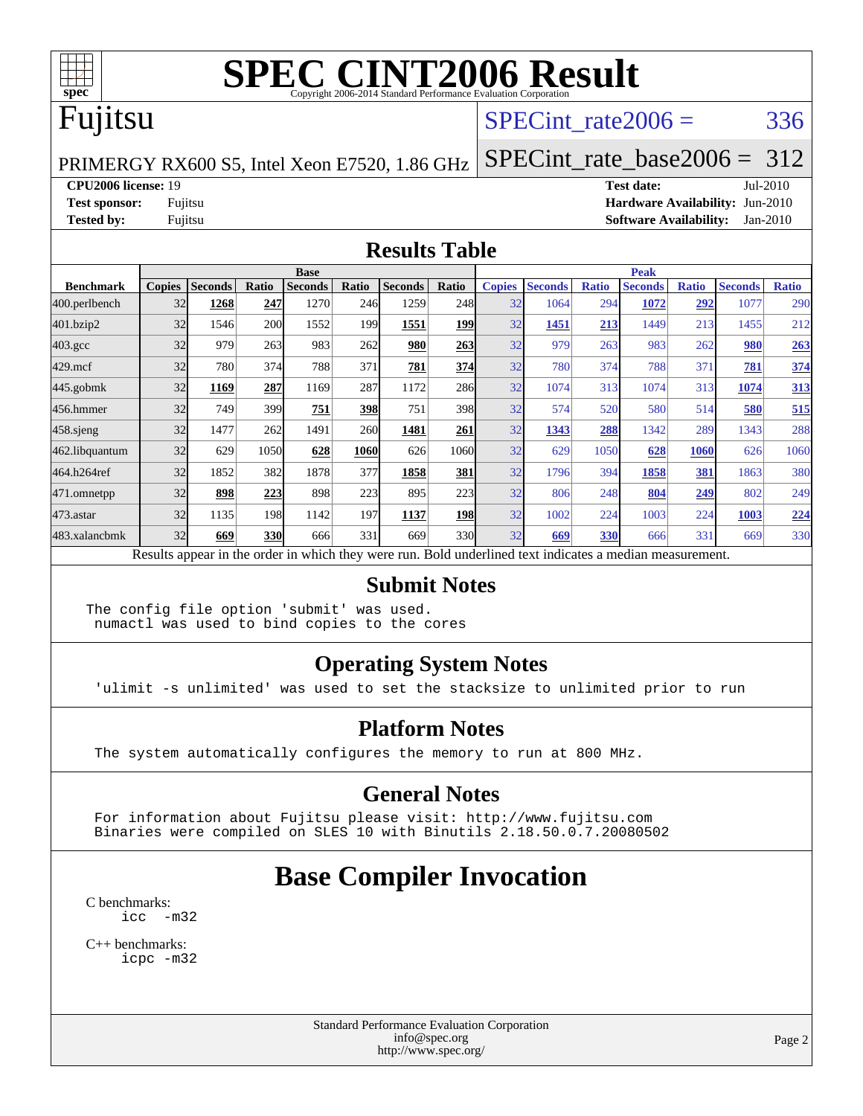

### Fujitsu

#### SPECint rate $2006 = 336$

#### PRIMERGY RX600 S5, Intel Xeon E7520, 1.86 GHz [SPECint\\_rate\\_base2006 =](http://www.spec.org/auto/cpu2006/Docs/result-fields.html#SPECintratebase2006) 312

**[CPU2006 license:](http://www.spec.org/auto/cpu2006/Docs/result-fields.html#CPU2006license)** 19 **[Test date:](http://www.spec.org/auto/cpu2006/Docs/result-fields.html#Testdate)** Jul-2010 **[Test sponsor:](http://www.spec.org/auto/cpu2006/Docs/result-fields.html#Testsponsor)** Fujitsu **[Hardware Availability:](http://www.spec.org/auto/cpu2006/Docs/result-fields.html#HardwareAvailability)** Jun-2010 **[Tested by:](http://www.spec.org/auto/cpu2006/Docs/result-fields.html#Testedby)** Fujitsu **[Software Availability:](http://www.spec.org/auto/cpu2006/Docs/result-fields.html#SoftwareAvailability)** Jan-2010

#### **[Results Table](http://www.spec.org/auto/cpu2006/Docs/result-fields.html#ResultsTable)**

|                    | <b>Base</b>   |                |       |                                                                                                          |            |                |            | <b>Peak</b>   |                |              |                |              |                |              |
|--------------------|---------------|----------------|-------|----------------------------------------------------------------------------------------------------------|------------|----------------|------------|---------------|----------------|--------------|----------------|--------------|----------------|--------------|
| <b>Benchmark</b>   | <b>Copies</b> | <b>Seconds</b> | Ratio | <b>Seconds</b>                                                                                           | Ratio      | <b>Seconds</b> | Ratio      | <b>Copies</b> | <b>Seconds</b> | <b>Ratio</b> | <b>Seconds</b> | <b>Ratio</b> | <b>Seconds</b> | <b>Ratio</b> |
| 400.perlbench      | 32            | 1268           | 247   | 1270                                                                                                     | 246        | 1259           | 248        | 32            | 1064           | 294          | 1072           | 292          | 1077           | 290          |
| 401.bzip2          | 32            | 1546           | 200   | 1552                                                                                                     | 199        | 1551           | <b>199</b> | 32            | 1451           | 213          | 1449           | 213          | 1455           | 212          |
| $403.\mathrm{gcc}$ | 32            | 979            | 263   | 983                                                                                                      | 262        | 980            | 263        | 32            | 979            | 263          | 983            | 262          | 980            | 263          |
| $429$ .mcf         | 32            | 780            | 374   | 788                                                                                                      | 371        | 781            | 374        | 32            | 780            | 374          | 788            | 371          | 781            | 374          |
| $445$ .gobmk       | 32            | 1169           | 287   | 1169                                                                                                     | 287        | 1172           | 286        | 32            | 1074           | 313          | 1074           | 313          | 1074           | 313          |
| 456.hmmer          | 32            | 749            | 399   | 751                                                                                                      | 398        | 751            | 398        | 32            | 574            | 520          | 580            | 514          | 580            | 515          |
| $458$ .sjeng       | 32            | 1477           | 262   | 1491                                                                                                     | <b>260</b> | 1481           | 261        | 32            | 1343           | 288          | 1342           | 289          | 1343           | 288          |
| 462.libquantum     | 32            | 629            | 1050  | 628                                                                                                      | 1060       | 626            | 1060       | 32            | 629            | 1050         | 628            | 1060         | 626            | 1060         |
| 464.h264ref        | 32            | 1852           | 382   | 1878                                                                                                     | 377        | 1858           | 381        | 32            | 1796           | 394          | 1858           | 381          | 1863           | 380          |
| 471.omnetpp        | 32            | 898            | 223   | 898                                                                                                      | 223        | 895            | 223        | 32            | 806            | 248          | 804            | <u>249</u>   | 802            | 249          |
| $473$ . astar      | 32            | 1135           | 198   | 1142                                                                                                     | 197        | 1137           | 198        | 32            | 1002           | 224          | 1003           | 224          | 1003           | 224          |
| 483.xalancbmk      | 32            | 669            | 330   | 666                                                                                                      | 331        | 669            | 330l       | 32            | 669            | 330          | 666            | 331          | 669            | 330          |
|                    |               |                |       | Results appear in the order in which they were run. Bold underlined text indicates a median measurement. |            |                |            |               |                |              |                |              |                |              |

#### **[Submit Notes](http://www.spec.org/auto/cpu2006/Docs/result-fields.html#SubmitNotes)**

The config file option 'submit' was used. numactl was used to bind copies to the cores

#### **[Operating System Notes](http://www.spec.org/auto/cpu2006/Docs/result-fields.html#OperatingSystemNotes)**

'ulimit -s unlimited' was used to set the stacksize to unlimited prior to run

#### **[Platform Notes](http://www.spec.org/auto/cpu2006/Docs/result-fields.html#PlatformNotes)**

The system automatically configures the memory to run at 800 MHz.

#### **[General Notes](http://www.spec.org/auto/cpu2006/Docs/result-fields.html#GeneralNotes)**

 For information about Fujitsu please visit: <http://www.fujitsu.com> Binaries were compiled on SLES 10 with Binutils 2.18.50.0.7.20080502

# **[Base Compiler Invocation](http://www.spec.org/auto/cpu2006/Docs/result-fields.html#BaseCompilerInvocation)**

[C benchmarks](http://www.spec.org/auto/cpu2006/Docs/result-fields.html#Cbenchmarks): [icc -m32](http://www.spec.org/cpu2006/results/res2010q3/cpu2006-20100716-12458.flags.html#user_CCbase_intel_icc_32bit_5ff4a39e364c98233615fdd38438c6f2)

[C++ benchmarks:](http://www.spec.org/auto/cpu2006/Docs/result-fields.html#CXXbenchmarks) [icpc -m32](http://www.spec.org/cpu2006/results/res2010q3/cpu2006-20100716-12458.flags.html#user_CXXbase_intel_icpc_32bit_4e5a5ef1a53fd332b3c49e69c3330699)

> Standard Performance Evaluation Corporation [info@spec.org](mailto:info@spec.org) <http://www.spec.org/>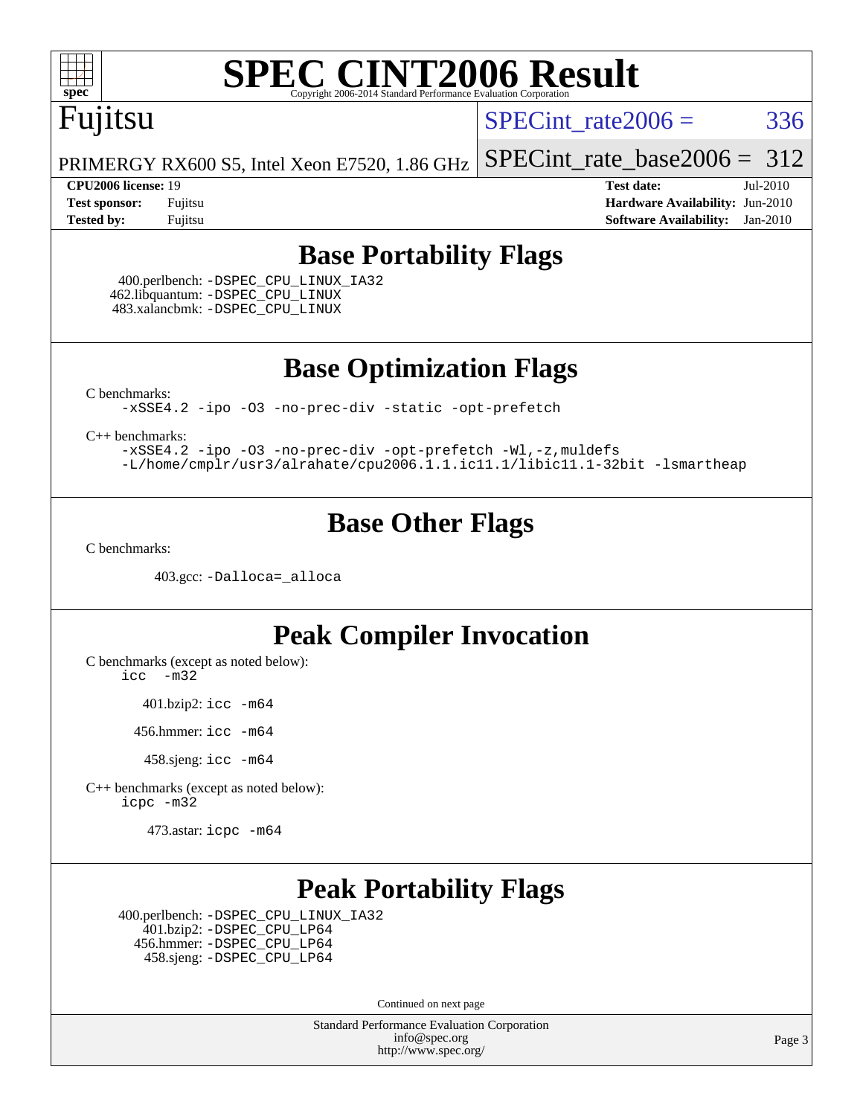

## Fujitsu

SPECint rate $2006 = 336$ 

[SPECint\\_rate\\_base2006 =](http://www.spec.org/auto/cpu2006/Docs/result-fields.html#SPECintratebase2006) 312

PRIMERGY RX600 S5, Intel Xeon E7520, 1.86 GHz

**[CPU2006 license:](http://www.spec.org/auto/cpu2006/Docs/result-fields.html#CPU2006license)** 19 **[Test date:](http://www.spec.org/auto/cpu2006/Docs/result-fields.html#Testdate)** Jul-2010 **[Test sponsor:](http://www.spec.org/auto/cpu2006/Docs/result-fields.html#Testsponsor)** Fujitsu **[Hardware Availability:](http://www.spec.org/auto/cpu2006/Docs/result-fields.html#HardwareAvailability)** Jun-2010 **[Tested by:](http://www.spec.org/auto/cpu2006/Docs/result-fields.html#Testedby)** Fujitsu **[Software Availability:](http://www.spec.org/auto/cpu2006/Docs/result-fields.html#SoftwareAvailability)** Jan-2010

#### **[Base Portability Flags](http://www.spec.org/auto/cpu2006/Docs/result-fields.html#BasePortabilityFlags)**

 400.perlbench: [-DSPEC\\_CPU\\_LINUX\\_IA32](http://www.spec.org/cpu2006/results/res2010q3/cpu2006-20100716-12458.flags.html#b400.perlbench_baseCPORTABILITY_DSPEC_CPU_LINUX_IA32) 462.libquantum: [-DSPEC\\_CPU\\_LINUX](http://www.spec.org/cpu2006/results/res2010q3/cpu2006-20100716-12458.flags.html#b462.libquantum_baseCPORTABILITY_DSPEC_CPU_LINUX) 483.xalancbmk: [-DSPEC\\_CPU\\_LINUX](http://www.spec.org/cpu2006/results/res2010q3/cpu2006-20100716-12458.flags.html#b483.xalancbmk_baseCXXPORTABILITY_DSPEC_CPU_LINUX)

**[Base Optimization Flags](http://www.spec.org/auto/cpu2006/Docs/result-fields.html#BaseOptimizationFlags)**

[C benchmarks](http://www.spec.org/auto/cpu2006/Docs/result-fields.html#Cbenchmarks):

[-xSSE4.2](http://www.spec.org/cpu2006/results/res2010q3/cpu2006-20100716-12458.flags.html#user_CCbase_f-xSSE42_f91528193cf0b216347adb8b939d4107) [-ipo](http://www.spec.org/cpu2006/results/res2010q3/cpu2006-20100716-12458.flags.html#user_CCbase_f-ipo) [-O3](http://www.spec.org/cpu2006/results/res2010q3/cpu2006-20100716-12458.flags.html#user_CCbase_f-O3) [-no-prec-div](http://www.spec.org/cpu2006/results/res2010q3/cpu2006-20100716-12458.flags.html#user_CCbase_f-no-prec-div) [-static](http://www.spec.org/cpu2006/results/res2010q3/cpu2006-20100716-12458.flags.html#user_CCbase_f-static) [-opt-prefetch](http://www.spec.org/cpu2006/results/res2010q3/cpu2006-20100716-12458.flags.html#user_CCbase_f-opt-prefetch)

[C++ benchmarks:](http://www.spec.org/auto/cpu2006/Docs/result-fields.html#CXXbenchmarks)

[-xSSE4.2](http://www.spec.org/cpu2006/results/res2010q3/cpu2006-20100716-12458.flags.html#user_CXXbase_f-xSSE42_f91528193cf0b216347adb8b939d4107) [-ipo](http://www.spec.org/cpu2006/results/res2010q3/cpu2006-20100716-12458.flags.html#user_CXXbase_f-ipo) [-O3](http://www.spec.org/cpu2006/results/res2010q3/cpu2006-20100716-12458.flags.html#user_CXXbase_f-O3) [-no-prec-div](http://www.spec.org/cpu2006/results/res2010q3/cpu2006-20100716-12458.flags.html#user_CXXbase_f-no-prec-div) [-opt-prefetch](http://www.spec.org/cpu2006/results/res2010q3/cpu2006-20100716-12458.flags.html#user_CXXbase_f-opt-prefetch) [-Wl,-z,muldefs](http://www.spec.org/cpu2006/results/res2010q3/cpu2006-20100716-12458.flags.html#user_CXXbase_link_force_multiple1_74079c344b956b9658436fd1b6dd3a8a) [-L/home/cmplr/usr3/alrahate/cpu2006.1.1.ic11.1/libic11.1-32bit -lsmartheap](http://www.spec.org/cpu2006/results/res2010q3/cpu2006-20100716-12458.flags.html#user_CXXbase_SmartHeap_d86dffe4a79b79ef8890d5cce17030c3)

#### **[Base Other Flags](http://www.spec.org/auto/cpu2006/Docs/result-fields.html#BaseOtherFlags)**

[C benchmarks](http://www.spec.org/auto/cpu2006/Docs/result-fields.html#Cbenchmarks):

403.gcc: [-Dalloca=\\_alloca](http://www.spec.org/cpu2006/results/res2010q3/cpu2006-20100716-12458.flags.html#b403.gcc_baseEXTRA_CFLAGS_Dalloca_be3056838c12de2578596ca5467af7f3)

#### **[Peak Compiler Invocation](http://www.spec.org/auto/cpu2006/Docs/result-fields.html#PeakCompilerInvocation)**

[C benchmarks \(except as noted below\)](http://www.spec.org/auto/cpu2006/Docs/result-fields.html#Cbenchmarksexceptasnotedbelow):

[icc -m32](http://www.spec.org/cpu2006/results/res2010q3/cpu2006-20100716-12458.flags.html#user_CCpeak_intel_icc_32bit_5ff4a39e364c98233615fdd38438c6f2)

401.bzip2: [icc -m64](http://www.spec.org/cpu2006/results/res2010q3/cpu2006-20100716-12458.flags.html#user_peakCCLD401_bzip2_intel_icc_64bit_bda6cc9af1fdbb0edc3795bac97ada53)

456.hmmer: [icc -m64](http://www.spec.org/cpu2006/results/res2010q3/cpu2006-20100716-12458.flags.html#user_peakCCLD456_hmmer_intel_icc_64bit_bda6cc9af1fdbb0edc3795bac97ada53)

458.sjeng: [icc -m64](http://www.spec.org/cpu2006/results/res2010q3/cpu2006-20100716-12458.flags.html#user_peakCCLD458_sjeng_intel_icc_64bit_bda6cc9af1fdbb0edc3795bac97ada53)

[C++ benchmarks \(except as noted below\):](http://www.spec.org/auto/cpu2006/Docs/result-fields.html#CXXbenchmarksexceptasnotedbelow) [icpc -m32](http://www.spec.org/cpu2006/results/res2010q3/cpu2006-20100716-12458.flags.html#user_CXXpeak_intel_icpc_32bit_4e5a5ef1a53fd332b3c49e69c3330699)

473.astar: [icpc -m64](http://www.spec.org/cpu2006/results/res2010q3/cpu2006-20100716-12458.flags.html#user_peakCXXLD473_astar_intel_icpc_64bit_fc66a5337ce925472a5c54ad6a0de310)

#### **[Peak Portability Flags](http://www.spec.org/auto/cpu2006/Docs/result-fields.html#PeakPortabilityFlags)**

 400.perlbench: [-DSPEC\\_CPU\\_LINUX\\_IA32](http://www.spec.org/cpu2006/results/res2010q3/cpu2006-20100716-12458.flags.html#b400.perlbench_peakCPORTABILITY_DSPEC_CPU_LINUX_IA32) 401.bzip2: [-DSPEC\\_CPU\\_LP64](http://www.spec.org/cpu2006/results/res2010q3/cpu2006-20100716-12458.flags.html#suite_peakCPORTABILITY401_bzip2_DSPEC_CPU_LP64) 456.hmmer: [-DSPEC\\_CPU\\_LP64](http://www.spec.org/cpu2006/results/res2010q3/cpu2006-20100716-12458.flags.html#suite_peakCPORTABILITY456_hmmer_DSPEC_CPU_LP64) 458.sjeng: [-DSPEC\\_CPU\\_LP64](http://www.spec.org/cpu2006/results/res2010q3/cpu2006-20100716-12458.flags.html#suite_peakCPORTABILITY458_sjeng_DSPEC_CPU_LP64)

Continued on next page

Standard Performance Evaluation Corporation [info@spec.org](mailto:info@spec.org) <http://www.spec.org/>

Page 3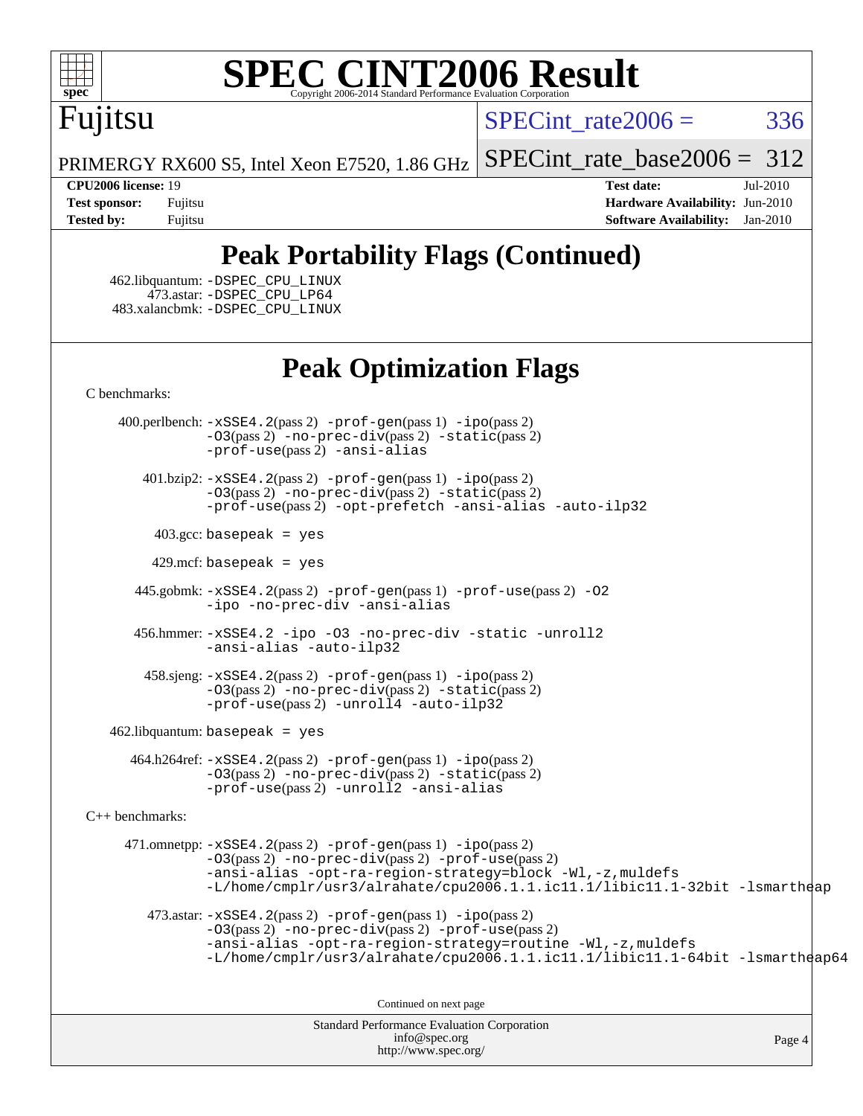

# Fujitsu

SPECint rate $2006 = 336$ 

PRIMERGY RX600 S5, Intel Xeon E7520, 1.86 GHz

[SPECint\\_rate\\_base2006 =](http://www.spec.org/auto/cpu2006/Docs/result-fields.html#SPECintratebase2006) 312

**[CPU2006 license:](http://www.spec.org/auto/cpu2006/Docs/result-fields.html#CPU2006license)** 19 **[Test date:](http://www.spec.org/auto/cpu2006/Docs/result-fields.html#Testdate)** Jul-2010 **[Test sponsor:](http://www.spec.org/auto/cpu2006/Docs/result-fields.html#Testsponsor)** Fujitsu **[Hardware Availability:](http://www.spec.org/auto/cpu2006/Docs/result-fields.html#HardwareAvailability)** Jun-2010 **[Tested by:](http://www.spec.org/auto/cpu2006/Docs/result-fields.html#Testedby)** Fujitsu **[Software Availability:](http://www.spec.org/auto/cpu2006/Docs/result-fields.html#SoftwareAvailability)** Jan-2010

### **[Peak Portability Flags \(Continued\)](http://www.spec.org/auto/cpu2006/Docs/result-fields.html#PeakPortabilityFlags)**

 462.libquantum: [-DSPEC\\_CPU\\_LINUX](http://www.spec.org/cpu2006/results/res2010q3/cpu2006-20100716-12458.flags.html#b462.libquantum_peakCPORTABILITY_DSPEC_CPU_LINUX) 473.astar: [-DSPEC\\_CPU\\_LP64](http://www.spec.org/cpu2006/results/res2010q3/cpu2006-20100716-12458.flags.html#suite_peakCXXPORTABILITY473_astar_DSPEC_CPU_LP64) 483.xalancbmk: [-DSPEC\\_CPU\\_LINUX](http://www.spec.org/cpu2006/results/res2010q3/cpu2006-20100716-12458.flags.html#b483.xalancbmk_peakCXXPORTABILITY_DSPEC_CPU_LINUX)

#### **[Peak Optimization Flags](http://www.spec.org/auto/cpu2006/Docs/result-fields.html#PeakOptimizationFlags)**

[C benchmarks](http://www.spec.org/auto/cpu2006/Docs/result-fields.html#Cbenchmarks):

 400.perlbench: [-xSSE4.2](http://www.spec.org/cpu2006/results/res2010q3/cpu2006-20100716-12458.flags.html#user_peakPASS2_CFLAGSPASS2_LDCFLAGS400_perlbench_f-xSSE42_f91528193cf0b216347adb8b939d4107)(pass 2) [-prof-gen](http://www.spec.org/cpu2006/results/res2010q3/cpu2006-20100716-12458.flags.html#user_peakPASS1_CFLAGSPASS1_LDCFLAGS400_perlbench_prof_gen_e43856698f6ca7b7e442dfd80e94a8fc)(pass 1) [-ipo](http://www.spec.org/cpu2006/results/res2010q3/cpu2006-20100716-12458.flags.html#user_peakPASS2_CFLAGSPASS2_LDCFLAGS400_perlbench_f-ipo)(pass 2) [-O3](http://www.spec.org/cpu2006/results/res2010q3/cpu2006-20100716-12458.flags.html#user_peakPASS2_CFLAGSPASS2_LDCFLAGS400_perlbench_f-O3)(pass 2) [-no-prec-div](http://www.spec.org/cpu2006/results/res2010q3/cpu2006-20100716-12458.flags.html#user_peakPASS2_CFLAGSPASS2_LDCFLAGS400_perlbench_f-no-prec-div)(pass 2) [-static](http://www.spec.org/cpu2006/results/res2010q3/cpu2006-20100716-12458.flags.html#user_peakPASS2_CFLAGSPASS2_LDCFLAGS400_perlbench_f-static)(pass 2) [-prof-use](http://www.spec.org/cpu2006/results/res2010q3/cpu2006-20100716-12458.flags.html#user_peakPASS2_CFLAGSPASS2_LDCFLAGS400_perlbench_prof_use_bccf7792157ff70d64e32fe3e1250b55)(pass 2) [-ansi-alias](http://www.spec.org/cpu2006/results/res2010q3/cpu2006-20100716-12458.flags.html#user_peakCOPTIMIZE400_perlbench_f-ansi-alias)

 401.bzip2: [-xSSE4.2](http://www.spec.org/cpu2006/results/res2010q3/cpu2006-20100716-12458.flags.html#user_peakPASS2_CFLAGSPASS2_LDCFLAGS401_bzip2_f-xSSE42_f91528193cf0b216347adb8b939d4107)(pass 2) [-prof-gen](http://www.spec.org/cpu2006/results/res2010q3/cpu2006-20100716-12458.flags.html#user_peakPASS1_CFLAGSPASS1_LDCFLAGS401_bzip2_prof_gen_e43856698f6ca7b7e442dfd80e94a8fc)(pass 1) [-ipo](http://www.spec.org/cpu2006/results/res2010q3/cpu2006-20100716-12458.flags.html#user_peakPASS2_CFLAGSPASS2_LDCFLAGS401_bzip2_f-ipo)(pass 2) [-O3](http://www.spec.org/cpu2006/results/res2010q3/cpu2006-20100716-12458.flags.html#user_peakPASS2_CFLAGSPASS2_LDCFLAGS401_bzip2_f-O3)(pass 2) [-no-prec-div](http://www.spec.org/cpu2006/results/res2010q3/cpu2006-20100716-12458.flags.html#user_peakPASS2_CFLAGSPASS2_LDCFLAGS401_bzip2_f-no-prec-div)(pass 2) [-static](http://www.spec.org/cpu2006/results/res2010q3/cpu2006-20100716-12458.flags.html#user_peakPASS2_CFLAGSPASS2_LDCFLAGS401_bzip2_f-static)(pass 2) [-prof-use](http://www.spec.org/cpu2006/results/res2010q3/cpu2006-20100716-12458.flags.html#user_peakPASS2_CFLAGSPASS2_LDCFLAGS401_bzip2_prof_use_bccf7792157ff70d64e32fe3e1250b55)(pass 2) [-opt-prefetch](http://www.spec.org/cpu2006/results/res2010q3/cpu2006-20100716-12458.flags.html#user_peakCOPTIMIZE401_bzip2_f-opt-prefetch) [-ansi-alias](http://www.spec.org/cpu2006/results/res2010q3/cpu2006-20100716-12458.flags.html#user_peakCOPTIMIZE401_bzip2_f-ansi-alias) [-auto-ilp32](http://www.spec.org/cpu2006/results/res2010q3/cpu2006-20100716-12458.flags.html#user_peakCOPTIMIZE401_bzip2_f-auto-ilp32)

 $403.\text{gcc: basepeak}$  = yes

 $429$ .mcf: basepeak = yes

 445.gobmk: [-xSSE4.2](http://www.spec.org/cpu2006/results/res2010q3/cpu2006-20100716-12458.flags.html#user_peakPASS2_CFLAGSPASS2_LDCFLAGS445_gobmk_f-xSSE42_f91528193cf0b216347adb8b939d4107)(pass 2) [-prof-gen](http://www.spec.org/cpu2006/results/res2010q3/cpu2006-20100716-12458.flags.html#user_peakPASS1_CFLAGSPASS1_LDCFLAGS445_gobmk_prof_gen_e43856698f6ca7b7e442dfd80e94a8fc)(pass 1) [-prof-use](http://www.spec.org/cpu2006/results/res2010q3/cpu2006-20100716-12458.flags.html#user_peakPASS2_CFLAGSPASS2_LDCFLAGS445_gobmk_prof_use_bccf7792157ff70d64e32fe3e1250b55)(pass 2) [-O2](http://www.spec.org/cpu2006/results/res2010q3/cpu2006-20100716-12458.flags.html#user_peakCOPTIMIZE445_gobmk_f-O2) [-ipo](http://www.spec.org/cpu2006/results/res2010q3/cpu2006-20100716-12458.flags.html#user_peakCOPTIMIZE445_gobmk_f-ipo) [-no-prec-div](http://www.spec.org/cpu2006/results/res2010q3/cpu2006-20100716-12458.flags.html#user_peakCOPTIMIZE445_gobmk_f-no-prec-div) [-ansi-alias](http://www.spec.org/cpu2006/results/res2010q3/cpu2006-20100716-12458.flags.html#user_peakCOPTIMIZE445_gobmk_f-ansi-alias)

 456.hmmer: [-xSSE4.2](http://www.spec.org/cpu2006/results/res2010q3/cpu2006-20100716-12458.flags.html#user_peakCOPTIMIZE456_hmmer_f-xSSE42_f91528193cf0b216347adb8b939d4107) [-ipo](http://www.spec.org/cpu2006/results/res2010q3/cpu2006-20100716-12458.flags.html#user_peakCOPTIMIZE456_hmmer_f-ipo) [-O3](http://www.spec.org/cpu2006/results/res2010q3/cpu2006-20100716-12458.flags.html#user_peakCOPTIMIZE456_hmmer_f-O3) [-no-prec-div](http://www.spec.org/cpu2006/results/res2010q3/cpu2006-20100716-12458.flags.html#user_peakCOPTIMIZE456_hmmer_f-no-prec-div) [-static](http://www.spec.org/cpu2006/results/res2010q3/cpu2006-20100716-12458.flags.html#user_peakCOPTIMIZE456_hmmer_f-static) [-unroll2](http://www.spec.org/cpu2006/results/res2010q3/cpu2006-20100716-12458.flags.html#user_peakCOPTIMIZE456_hmmer_f-unroll_784dae83bebfb236979b41d2422d7ec2) [-ansi-alias](http://www.spec.org/cpu2006/results/res2010q3/cpu2006-20100716-12458.flags.html#user_peakCOPTIMIZE456_hmmer_f-ansi-alias) [-auto-ilp32](http://www.spec.org/cpu2006/results/res2010q3/cpu2006-20100716-12458.flags.html#user_peakCOPTIMIZE456_hmmer_f-auto-ilp32)

 458.sjeng: [-xSSE4.2](http://www.spec.org/cpu2006/results/res2010q3/cpu2006-20100716-12458.flags.html#user_peakPASS2_CFLAGSPASS2_LDCFLAGS458_sjeng_f-xSSE42_f91528193cf0b216347adb8b939d4107)(pass 2) [-prof-gen](http://www.spec.org/cpu2006/results/res2010q3/cpu2006-20100716-12458.flags.html#user_peakPASS1_CFLAGSPASS1_LDCFLAGS458_sjeng_prof_gen_e43856698f6ca7b7e442dfd80e94a8fc)(pass 1) [-ipo](http://www.spec.org/cpu2006/results/res2010q3/cpu2006-20100716-12458.flags.html#user_peakPASS2_CFLAGSPASS2_LDCFLAGS458_sjeng_f-ipo)(pass 2) [-O3](http://www.spec.org/cpu2006/results/res2010q3/cpu2006-20100716-12458.flags.html#user_peakPASS2_CFLAGSPASS2_LDCFLAGS458_sjeng_f-O3)(pass 2) [-no-prec-div](http://www.spec.org/cpu2006/results/res2010q3/cpu2006-20100716-12458.flags.html#user_peakPASS2_CFLAGSPASS2_LDCFLAGS458_sjeng_f-no-prec-div)(pass 2) [-static](http://www.spec.org/cpu2006/results/res2010q3/cpu2006-20100716-12458.flags.html#user_peakPASS2_CFLAGSPASS2_LDCFLAGS458_sjeng_f-static)(pass 2)  $-prof-use(pass 2) -unroll4 -auto-ilp32$  $-prof-use(pass 2) -unroll4 -auto-ilp32$  $-prof-use(pass 2) -unroll4 -auto-ilp32$  $-prof-use(pass 2) -unroll4 -auto-ilp32$  $-prof-use(pass 2) -unroll4 -auto-ilp32$ 

462.libquantum: basepeak = yes

 464.h264ref: [-xSSE4.2](http://www.spec.org/cpu2006/results/res2010q3/cpu2006-20100716-12458.flags.html#user_peakPASS2_CFLAGSPASS2_LDCFLAGS464_h264ref_f-xSSE42_f91528193cf0b216347adb8b939d4107)(pass 2) [-prof-gen](http://www.spec.org/cpu2006/results/res2010q3/cpu2006-20100716-12458.flags.html#user_peakPASS1_CFLAGSPASS1_LDCFLAGS464_h264ref_prof_gen_e43856698f6ca7b7e442dfd80e94a8fc)(pass 1) [-ipo](http://www.spec.org/cpu2006/results/res2010q3/cpu2006-20100716-12458.flags.html#user_peakPASS2_CFLAGSPASS2_LDCFLAGS464_h264ref_f-ipo)(pass 2) [-O3](http://www.spec.org/cpu2006/results/res2010q3/cpu2006-20100716-12458.flags.html#user_peakPASS2_CFLAGSPASS2_LDCFLAGS464_h264ref_f-O3)(pass 2) [-no-prec-div](http://www.spec.org/cpu2006/results/res2010q3/cpu2006-20100716-12458.flags.html#user_peakPASS2_CFLAGSPASS2_LDCFLAGS464_h264ref_f-no-prec-div)(pass 2) [-static](http://www.spec.org/cpu2006/results/res2010q3/cpu2006-20100716-12458.flags.html#user_peakPASS2_CFLAGSPASS2_LDCFLAGS464_h264ref_f-static)(pass 2) [-prof-use](http://www.spec.org/cpu2006/results/res2010q3/cpu2006-20100716-12458.flags.html#user_peakPASS2_CFLAGSPASS2_LDCFLAGS464_h264ref_prof_use_bccf7792157ff70d64e32fe3e1250b55)(pass 2) [-unroll2](http://www.spec.org/cpu2006/results/res2010q3/cpu2006-20100716-12458.flags.html#user_peakCOPTIMIZE464_h264ref_f-unroll_784dae83bebfb236979b41d2422d7ec2) [-ansi-alias](http://www.spec.org/cpu2006/results/res2010q3/cpu2006-20100716-12458.flags.html#user_peakCOPTIMIZE464_h264ref_f-ansi-alias)

[C++ benchmarks:](http://www.spec.org/auto/cpu2006/Docs/result-fields.html#CXXbenchmarks)

 471.omnetpp: [-xSSE4.2](http://www.spec.org/cpu2006/results/res2010q3/cpu2006-20100716-12458.flags.html#user_peakPASS2_CXXFLAGSPASS2_LDCXXFLAGS471_omnetpp_f-xSSE42_f91528193cf0b216347adb8b939d4107)(pass 2) [-prof-gen](http://www.spec.org/cpu2006/results/res2010q3/cpu2006-20100716-12458.flags.html#user_peakPASS1_CXXFLAGSPASS1_LDCXXFLAGS471_omnetpp_prof_gen_e43856698f6ca7b7e442dfd80e94a8fc)(pass 1) [-ipo](http://www.spec.org/cpu2006/results/res2010q3/cpu2006-20100716-12458.flags.html#user_peakPASS2_CXXFLAGSPASS2_LDCXXFLAGS471_omnetpp_f-ipo)(pass 2) [-O3](http://www.spec.org/cpu2006/results/res2010q3/cpu2006-20100716-12458.flags.html#user_peakPASS2_CXXFLAGSPASS2_LDCXXFLAGS471_omnetpp_f-O3)(pass 2) [-no-prec-div](http://www.spec.org/cpu2006/results/res2010q3/cpu2006-20100716-12458.flags.html#user_peakPASS2_CXXFLAGSPASS2_LDCXXFLAGS471_omnetpp_f-no-prec-div)(pass 2) [-prof-use](http://www.spec.org/cpu2006/results/res2010q3/cpu2006-20100716-12458.flags.html#user_peakPASS2_CXXFLAGSPASS2_LDCXXFLAGS471_omnetpp_prof_use_bccf7792157ff70d64e32fe3e1250b55)(pass 2) [-ansi-alias](http://www.spec.org/cpu2006/results/res2010q3/cpu2006-20100716-12458.flags.html#user_peakCXXOPTIMIZE471_omnetpp_f-ansi-alias) [-opt-ra-region-strategy=block](http://www.spec.org/cpu2006/results/res2010q3/cpu2006-20100716-12458.flags.html#user_peakCXXOPTIMIZE471_omnetpp_f-opt-ra-region-strategy-block_a0a37c372d03933b2a18d4af463c1f69) [-Wl,-z,muldefs](http://www.spec.org/cpu2006/results/res2010q3/cpu2006-20100716-12458.flags.html#user_peakEXTRA_LDFLAGS471_omnetpp_link_force_multiple1_74079c344b956b9658436fd1b6dd3a8a) [-L/home/cmplr/usr3/alrahate/cpu2006.1.1.ic11.1/libic11.1-32bit -lsmartheap](http://www.spec.org/cpu2006/results/res2010q3/cpu2006-20100716-12458.flags.html#user_peakEXTRA_LIBS471_omnetpp_SmartHeap_d86dffe4a79b79ef8890d5cce17030c3)

473.astar:  $-xSSE4$ . 2(pass 2)  $-prof-gen(pass 1) -ipo(pass 2)$  $-prof-gen(pass 1) -ipo(pass 2)$  $-prof-gen(pass 1) -ipo(pass 2)$  $-prof-gen(pass 1) -ipo(pass 2)$ [-O3](http://www.spec.org/cpu2006/results/res2010q3/cpu2006-20100716-12458.flags.html#user_peakPASS2_CXXFLAGSPASS2_LDCXXFLAGS473_astar_f-O3)(pass 2) [-no-prec-div](http://www.spec.org/cpu2006/results/res2010q3/cpu2006-20100716-12458.flags.html#user_peakPASS2_CXXFLAGSPASS2_LDCXXFLAGS473_astar_f-no-prec-div)(pass 2) [-prof-use](http://www.spec.org/cpu2006/results/res2010q3/cpu2006-20100716-12458.flags.html#user_peakPASS2_CXXFLAGSPASS2_LDCXXFLAGS473_astar_prof_use_bccf7792157ff70d64e32fe3e1250b55)(pass 2) [-ansi-alias](http://www.spec.org/cpu2006/results/res2010q3/cpu2006-20100716-12458.flags.html#user_peakCXXOPTIMIZE473_astar_f-ansi-alias) [-opt-ra-region-strategy=routine](http://www.spec.org/cpu2006/results/res2010q3/cpu2006-20100716-12458.flags.html#user_peakCXXOPTIMIZE473_astar_f-opt-ra-region-strategy-routine_ba086ea3b1d46a52e1238e2ca173ed44) [-Wl,-z,muldefs](http://www.spec.org/cpu2006/results/res2010q3/cpu2006-20100716-12458.flags.html#user_peakEXTRA_LDFLAGS473_astar_link_force_multiple1_74079c344b956b9658436fd1b6dd3a8a) [-L/home/cmplr/usr3/alrahate/cpu2006.1.1.ic11.1/libic11.1-64bit -lsmartheap64](http://www.spec.org/cpu2006/results/res2010q3/cpu2006-20100716-12458.flags.html#user_peakEXTRA_LIBS473_astar_SmartHeap64_e2306cda84805d1ab360117a79ff779c)

Continued on next page

Standard Performance Evaluation Corporation [info@spec.org](mailto:info@spec.org) <http://www.spec.org/>

Page 4